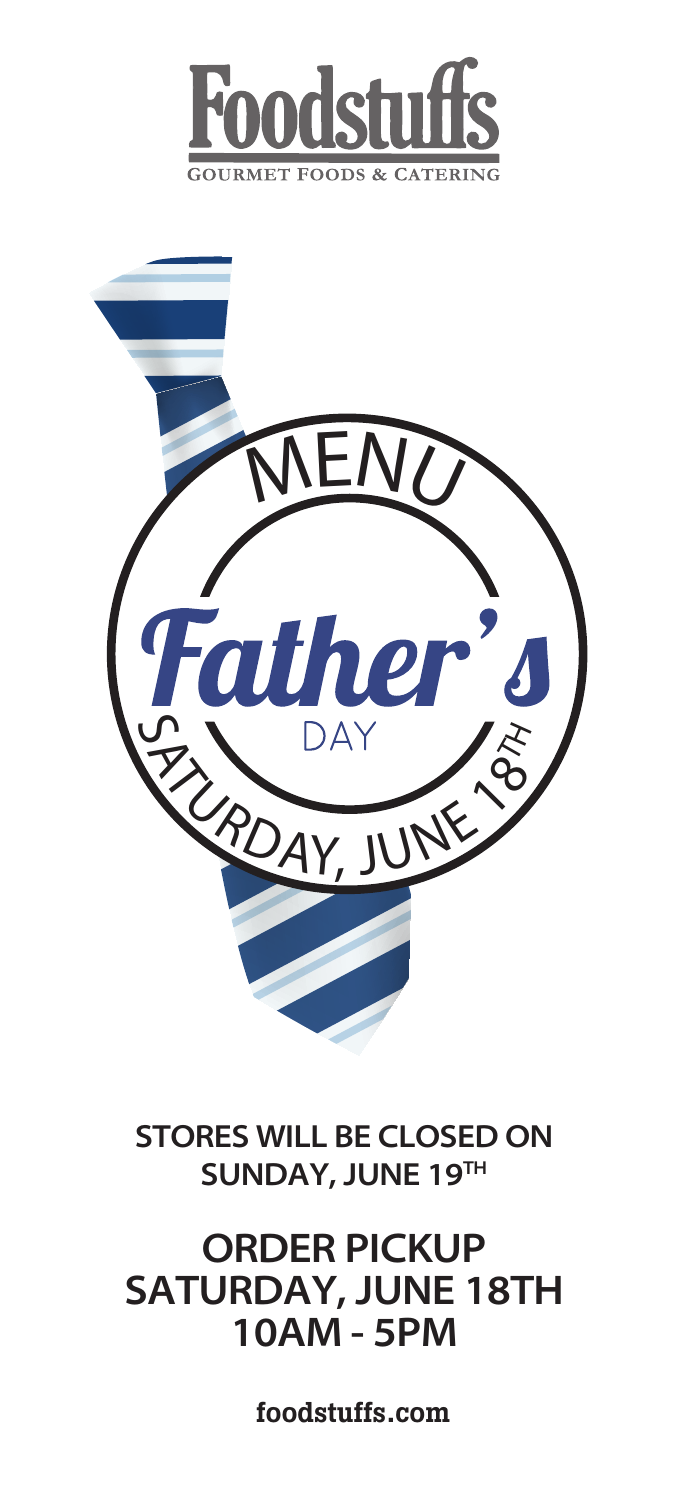



**STORES WILL BE CLOSED ON SUNDAY, JUNE 19TH**

# **ORDER PICKUP SATURDAY, JUNE 18TH 10AM - 5PM**

foodstuffs.com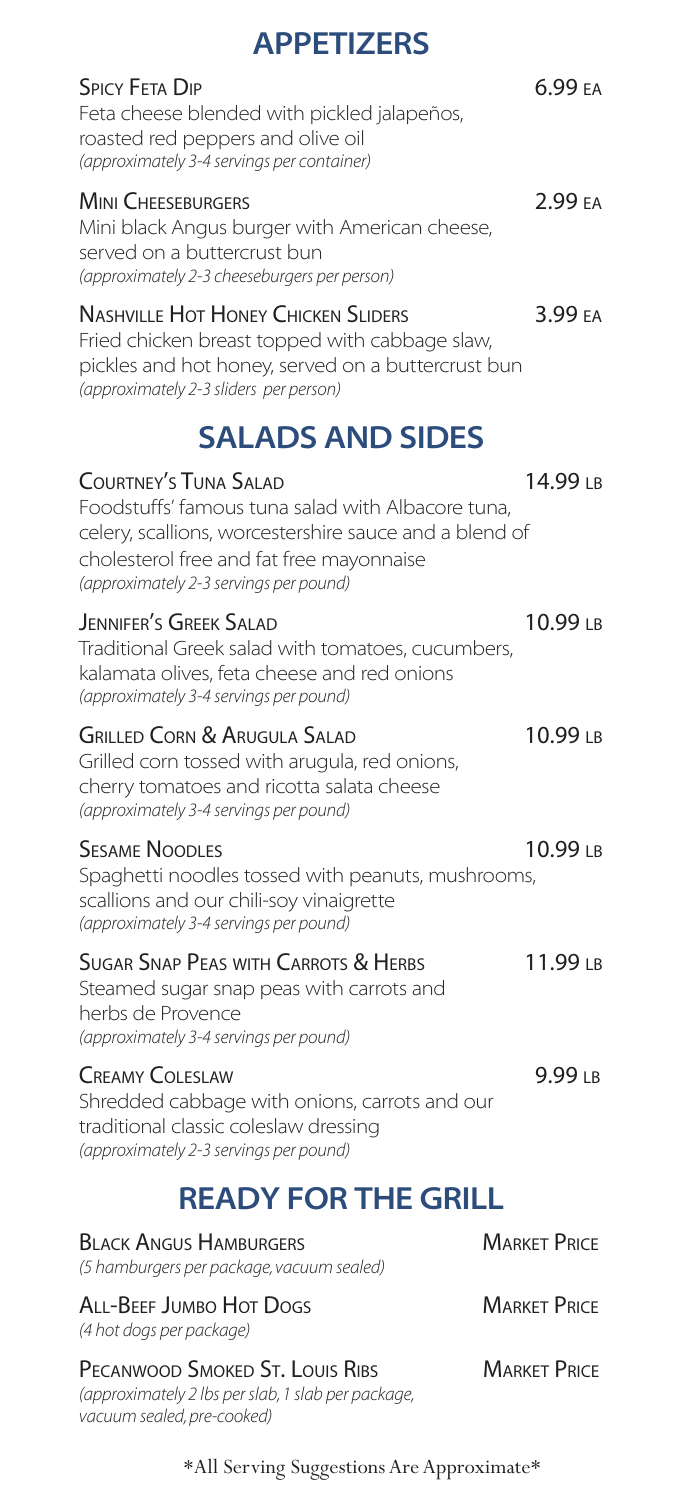| <b>APPETIZERS</b>                                                                                                                                                                                                                 |                     |
|-----------------------------------------------------------------------------------------------------------------------------------------------------------------------------------------------------------------------------------|---------------------|
| <b>SPICY FETA DIP</b><br>Feta cheese blended with pickled jalapeños,<br>roasted red peppers and olive oil<br>(approximately 3-4 servings per container)                                                                           | 6.99 FA             |
| <b>MINI CHEESEBURGERS</b><br>Mini black Angus burger with American cheese,<br>served on a buttercrust bun<br>(approximately 2-3 cheeseburgers per person)                                                                         | 2.99 EA             |
| <b>NASHVILLE HOT HONEY CHICKEN SLIDERS</b><br>Fried chicken breast topped with cabbage slaw,<br>pickles and hot honey, served on a buttercrust bun<br>(approximately 2-3 sliders per person)                                      | 3.99 EA             |
| <b>SALADS AND SIDES</b>                                                                                                                                                                                                           |                     |
| <b>COURTNEY'S TUNA SALAD</b><br>Foodstuffs' famous tuna salad with Albacore tuna,<br>celery, scallions, worcestershire sauce and a blend of<br>cholesterol free and fat free mayonnaise<br>(approximately 2-3 servings per pound) | 14.99 IB            |
| <b>JENNIFER'S GREEK SALAD</b><br>Traditional Greek salad with tomatoes, cucumbers,<br>kalamata olives, feta cheese and red onions<br>(approximately 3-4 servings per pound)                                                       | 10.99 <sub>LB</sub> |
| <b>GRILLED CORN &amp; ARUGULA SALAD</b><br>Grilled corn tossed with arugula, red onions,<br>cherry tomatoes and ricotta salata cheese<br>(approximately 3-4 servings per pound)                                                   | 10.99 <sub>LB</sub> |
| <b>SESAME NOODLES</b><br>Spaghetti noodles tossed with peanuts, mushrooms,<br>scallions and our chili-soy vinaigrette<br>(approximately 3-4 servings per pound)                                                                   | 10.99 LB            |
| <b>SUGAR SNAP PEAS WITH CARROTS &amp; HERBS</b><br>Steamed sugar snap peas with carrots and<br>herbs de Provence<br>(approximately 3-4 servings per pound)                                                                        | 11.99 <sub>LB</sub> |
| <b>CREAMY COLESLAW</b><br>Shredded cabbage with onions, carrots and our                                                                                                                                                           | 9.99 <sub>LB</sub>  |

# **READY FOR THE GRILL**

traditional classic coleslaw dressing *(approximately 2-3 servings per pound)*

| <b>BLACK ANGUS HAMBURGERS</b><br>(5 hamburgers per package, vacuum sealed)                                          | <b>MARKET PRICE</b> |
|---------------------------------------------------------------------------------------------------------------------|---------------------|
| ALL-BEEF JUMBO HOT DOGS<br>(4 hot dogs per package)                                                                 | <b>MARKET PRICE</b> |
| PECANWOOD SMOKED ST. LOUIS RIBS<br>(approximately 2 lbs per slab, 1 slab per package,<br>vacuum sealed, pre-cooked) | <b>MARKET PRICE</b> |

#### \*All Serving Suggestions Are Approximate\*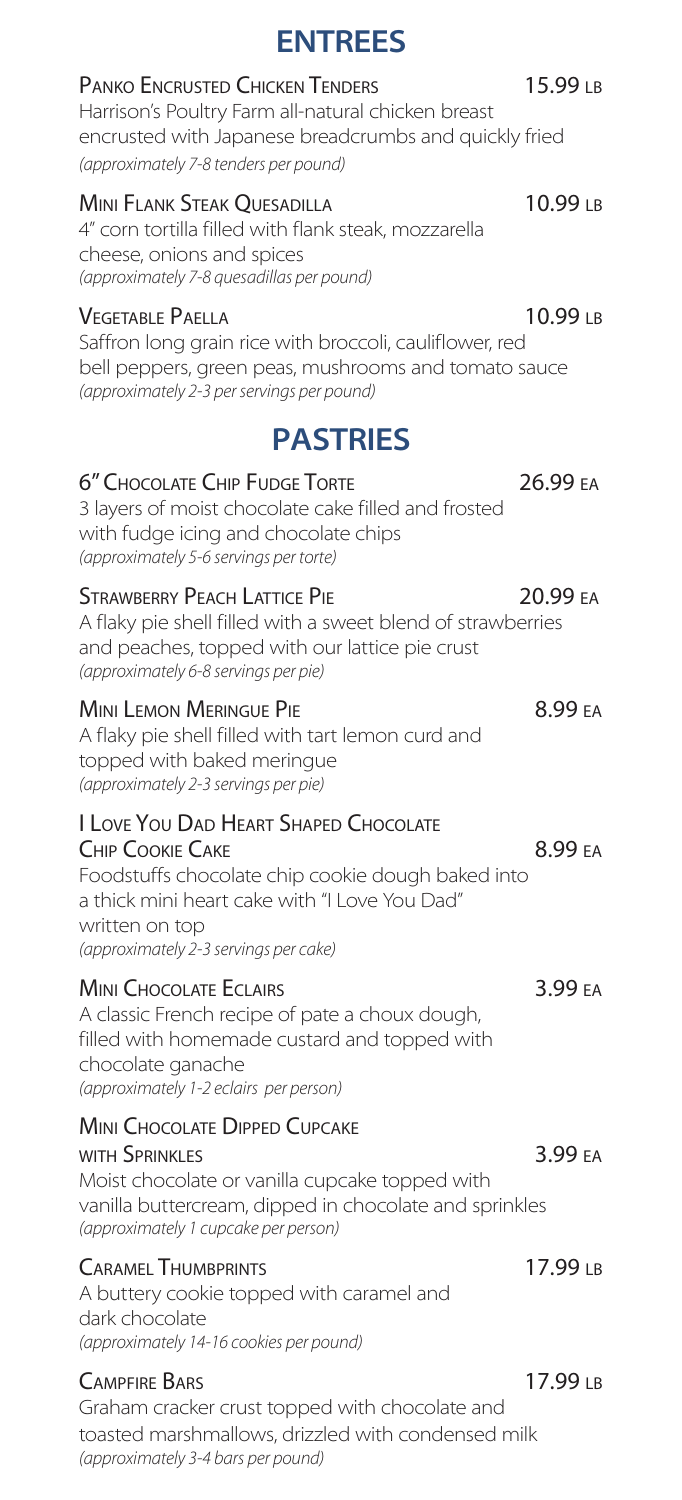# **ENTREES**

### PANKO ENCRUSTED CHICKEN TENDERS 15.99 LB

Harrison's Poultry Farm all-natural chicken breast encrusted with Japanese breadcrumbs and quickly fried *(approximately 7-8 tenders per pound)* 

#### Mini Flank Steak Quesadilla 10.99 lb

4" corn tortilla filled with flank steak, mozzarella cheese, onions and spices *(approximately 7-8 quesadillas per pound)*

### VEGETABLE PAELLA 10.99 LB

Saffron long grain rice with broccoli, cauliflower, red bell peppers, green peas, mushrooms and tomato sauce *(approximately 2-3 per servings per pound)*

# **PASTRIES**

## 6" Chocolate Chip Fudge Torte 26.99 ea

3 layers of moist chocolate cake filled and frosted with fudge icing and chocolate chips *(approximately 5-6 servings per torte)*

#### STRAWBERRY PEACH LATTICE PIE 20.99 EA

A flaky pie shell filled with a sweet blend of strawberries and peaches, topped with our lattice pie crust *(approximately 6-8 servings per pie)*

#### MINI LEMON MERINGUE PIE **1988 EXECUTE 18.99 EA**

A flaky pie shell filled with tart lemon curd and topped with baked meringue *(approximately 2-3 servings per pie)*

### I Love You Dad Heart Shaped Chocolate

## CHIP COOKIE CAKE 8.99 FA

Foodstuffs chocolate chip cookie dough baked into a thick mini heart cake with "I Love You Dad" written on top *(approximately 2-3 servings per cake)*

## MINI CHOCOLATE ECLAIRS **3.99** EA

A classic French recipe of pate a choux dough, filled with homemade custard and topped with chocolate ganache *(approximately 1-2 eclairs per person)* 

## **MINI CHOCOLATE DIPPED CUPCAKE**

WITH SPRINKLES 3.99 EA Moist chocolate or vanilla cupcake topped with vanilla buttercream, dipped in chocolate and sprinkles *(approximately 1 cupcake per person)*

## CARAMEL THUMBPRINTS 17.99 LB

A buttery cookie topped with caramel and dark chocolate *(approximately 14-16 cookies per pound)* 

## CAMPFIRE BARS 2008 2012 17.99 LB

Graham cracker crust topped with chocolate and toasted marshmallows, drizzled with condensed milk *(approximately 3-4 bars per pound)*